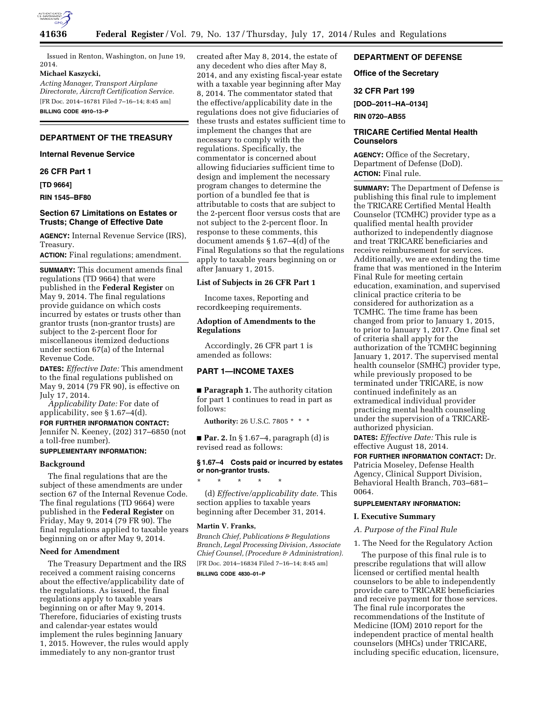

Issued in Renton, Washington, on June 19, 2014.

#### **Michael Kaszycki,**

*Acting Manager, Transport Airplane Directorate, Aircraft Certification Service.*  [FR Doc. 2014–16781 Filed 7–16–14; 8:45 am] **BILLING CODE 4910–13–P** 

# **DEPARTMENT OF THE TREASURY**

# **Internal Revenue Service**

**26 CFR Part 1** 

**[TD 9664]** 

**RIN 1545–BF80** 

# **Section 67 Limitations on Estates or Trusts; Change of Effective Date**

**AGENCY:** Internal Revenue Service (IRS), Treasury.

**ACTION:** Final regulations; amendment.

**SUMMARY:** This document amends final regulations (TD 9664) that were published in the **Federal Register** on May 9, 2014. The final regulations provide guidance on which costs incurred by estates or trusts other than grantor trusts (non-grantor trusts) are subject to the 2-percent floor for miscellaneous itemized deductions under section 67(a) of the Internal Revenue Code.

**DATES:** *Effective Date:* This amendment to the final regulations published on May 9, 2014 (79 FR 90), is effective on July 17, 2014.

*Applicability Date:* For date of applicability, see § 1.67–4(d).

**FOR FURTHER INFORMATION CONTACT:**  Jennifer N. Keeney, (202) 317–6850 (not a toll-free number).

### **SUPPLEMENTARY INFORMATION:**

## **Background**

The final regulations that are the subject of these amendments are under section 67 of the Internal Revenue Code. The final regulations (TD 9664) were published in the **Federal Register** on Friday, May 9, 2014 (79 FR 90). The final regulations applied to taxable years beginning on or after May 9, 2014.

## **Need for Amendment**

The Treasury Department and the IRS received a comment raising concerns about the effective/applicability date of the regulations. As issued, the final regulations apply to taxable years beginning on or after May 9, 2014. Therefore, fiduciaries of existing trusts and calendar-year estates would implement the rules beginning January 1, 2015. However, the rules would apply immediately to any non-grantor trust

created after May 8, 2014, the estate of any decedent who dies after May 8, 2014, and any existing fiscal-year estate with a taxable year beginning after May 8, 2014. The commentator stated that the effective/applicability date in the regulations does not give fiduciaries of these trusts and estates sufficient time to implement the changes that are necessary to comply with the regulations. Specifically, the commentator is concerned about allowing fiduciaries sufficient time to design and implement the necessary program changes to determine the portion of a bundled fee that is attributable to costs that are subject to the 2-percent floor versus costs that are not subject to the 2-percent floor. In response to these comments, this document amends § 1.67–4(d) of the Final Regulations so that the regulations apply to taxable years beginning on or after January 1, 2015.

### **List of Subjects in 26 CFR Part 1**

Income taxes, Reporting and recordkeeping requirements.

# **Adoption of Amendments to the Regulations**

# Accordingly, 26 CFR part 1 is amended as follows:

# **PART 1—INCOME TAXES**

■ **Paragraph 1.** The authority citation for part 1 continues to read in part as follows:

**Authority:** 26 U.S.C. 7805 \* \* \*

■ **Par. 2.** In § 1.67–4, paragraph (d) is revised read as follows:

#### **§ 1.67–4 Costs paid or incurred by estates or non-grantor trusts.**

\* \* \* \* \* (d) *Effective/applicability date.* This section applies to taxable years beginning after December 31, 2014.

#### **Martin V. Franks,**

*Branch Chief, Publications & Regulations Branch, Legal Processing Division, Associate Chief Counsel, (Procedure & Administration).*  [FR Doc. 2014–16834 Filed 7–16–14; 8:45 am]

**BILLING CODE 4830–01–P** 

# **DEPARTMENT OF DEFENSE**

# **Office of the Secretary**

# **32 CFR Part 199**

**[DOD–2011–HA–0134]** 

**RIN 0720–AB55** 

# **TRICARE Certified Mental Health Counselors**

**AGENCY:** Office of the Secretary, Department of Defense (DoD). **ACTION:** Final rule.

**SUMMARY:** The Department of Defense is publishing this final rule to implement the TRICARE Certified Mental Health Counselor (TCMHC) provider type as a qualified mental health provider authorized to independently diagnose and treat TRICARE beneficiaries and receive reimbursement for services. Additionally, we are extending the time frame that was mentioned in the Interim Final Rule for meeting certain education, examination, and supervised clinical practice criteria to be considered for authorization as a TCMHC. The time frame has been changed from prior to January 1, 2015, to prior to January 1, 2017. One final set of criteria shall apply for the authorization of the TCMHC beginning January 1, 2017. The supervised mental health counselor (SMHC) provider type, while previously proposed to be terminated under TRICARE, is now continued indefinitely as an extramedical individual provider practicing mental health counseling under the supervision of a TRICAREauthorized physician.

**DATES:** *Effective Date:* This rule is effective August 18, 2014.

**FOR FURTHER INFORMATION CONTACT:** Dr. Patricia Moseley, Defense Health Agency, Clinical Support Division, Behavioral Health Branch, 703–681– 0064.

# **SUPPLEMENTARY INFORMATION:**

### **I. Executive Summary**

## *A. Purpose of the Final Rule*

1. The Need for the Regulatory Action

The purpose of this final rule is to prescribe regulations that will allow licensed or certified mental health counselors to be able to independently provide care to TRICARE beneficiaries and receive payment for those services. The final rule incorporates the recommendations of the Institute of Medicine (IOM) 2010 report for the independent practice of mental health counselors (MHCs) under TRICARE, including specific education, licensure,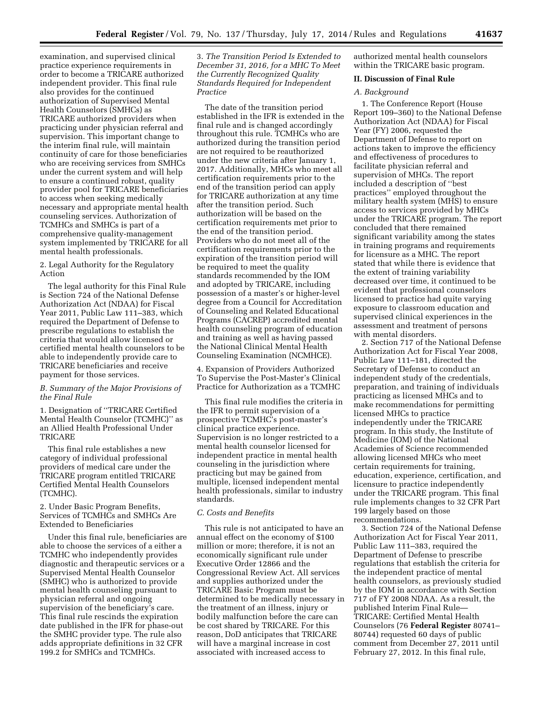examination, and supervised clinical practice experience requirements in order to become a TRICARE authorized independent provider. This final rule also provides for the continued authorization of Supervised Mental Health Counselors (SMHCs) as TRICARE authorized providers when practicing under physician referral and supervision. This important change to the interim final rule, will maintain continuity of care for those beneficiaries who are receiving services from SMHCs under the current system and will help to ensure a continued robust, quality provider pool for TRICARE beneficiaries to access when seeking medically necessary and appropriate mental health counseling services. Authorization of TCMHCs and SMHCs is part of a comprehensive quality-management system implemented by TRICARE for all mental health professionals.

2. Legal Authority for the Regulatory Action

The legal authority for this Final Rule is Section 724 of the National Defense Authorization Act (NDAA) for Fiscal Year 2011, Public Law 111–383, which required the Department of Defense to prescribe regulations to establish the criteria that would allow licensed or certified mental health counselors to be able to independently provide care to TRICARE beneficiaries and receive payment for those services.

# *B. Summary of the Major Provisions of the Final Rule*

1. Designation of ''TRICARE Certified Mental Health Counselor (TCMHC)'' as an Allied Health Professional Under TRICARE

This final rule establishes a new category of individual professional providers of medical care under the TRICARE program entitled TRICARE Certified Mental Health Counselors (TCMHC).

2. Under Basic Program Benefits, Services of TCMHCs and SMHCs Are Extended to Beneficiaries

Under this final rule, beneficiaries are able to choose the services of a either a TCMHC who independently provides diagnostic and therapeutic services or a Supervised Mental Health Counselor (SMHC) who is authorized to provide mental health counseling pursuant to physician referral and ongoing supervision of the beneficiary's care. This final rule rescinds the expiration date published in the IFR for phase-out the SMHC provider type. The rule also adds appropriate definitions in 32 CFR 199.2 for SMHCs and TCMHCs.

3. *The Transition Period Is Extended to December 31, 2016, for a MHC To Meet the Currently Recognized Quality Standards Required for Independent Practice* 

The date of the transition period established in the IFR is extended in the final rule and is changed accordingly throughout this rule. TCMHCs who are authorized during the transition period are not required to be reauthorized under the new criteria after January 1, 2017. Additionally, MHCs who meet all certification requirements prior to the end of the transition period can apply for TRICARE authorization at any time after the transition period. Such authorization will be based on the certification requirements met prior to the end of the transition period. Providers who do not meet all of the certification requirements prior to the expiration of the transition period will be required to meet the quality standards recommended by the IOM and adopted by TRICARE, including possession of a master's or higher-level degree from a Council for Accreditation of Counseling and Related Educational Programs (CACREP) accredited mental health counseling program of education and training as well as having passed the National Clinical Mental Health Counseling Examination (NCMHCE).

4. Expansion of Providers Authorized To Supervise the Post-Master's Clinical Practice for Authorization as a TCMHC

This final rule modifies the criteria in the IFR to permit supervision of a prospective TCMHC's post-master's clinical practice experience. Supervision is no longer restricted to a mental health counselor licensed for independent practice in mental health counseling in the jurisdiction where practicing but may be gained from multiple, licensed independent mental health professionals, similar to industry standards.

# *C. Costs and Benefits*

This rule is not anticipated to have an annual effect on the economy of \$100 million or more; therefore, it is not an economically significant rule under Executive Order 12866 and the Congressional Review Act. All services and supplies authorized under the TRICARE Basic Program must be determined to be medically necessary in the treatment of an illness, injury or bodily malfunction before the care can be cost shared by TRICARE. For this reason, DoD anticipates that TRICARE will have a marginal increase in cost associated with increased access to

authorized mental health counselors within the TRICARE basic program.

# **II. Discussion of Final Rule**

#### *A. Background*

1. The Conference Report (House Report 109–360) to the National Defense Authorization Act (NDAA) for Fiscal Year (FY) 2006, requested the Department of Defense to report on actions taken to improve the efficiency and effectiveness of procedures to facilitate physician referral and supervision of MHCs. The report included a description of ''best practices'' employed throughout the military health system (MHS) to ensure access to services provided by MHCs under the TRICARE program. The report concluded that there remained significant variability among the states in training programs and requirements for licensure as a MHC. The report stated that while there is evidence that the extent of training variability decreased over time, it continued to be evident that professional counselors licensed to practice had quite varying exposure to classroom education and supervised clinical experiences in the assessment and treatment of persons with mental disorders.

2. Section 717 of the National Defense Authorization Act for Fiscal Year 2008, Public Law 111–181, directed the Secretary of Defense to conduct an independent study of the credentials, preparation, and training of individuals practicing as licensed MHCs and to make recommendations for permitting licensed MHCs to practice independently under the TRICARE program. In this study, the Institute of Medicine (IOM) of the National Academies of Science recommended allowing licensed MHCs who meet certain requirements for training, education, experience, certification, and licensure to practice independently under the TRICARE program. This final rule implements changes to 32 CFR Part 199 largely based on those recommendations.

3. Section 724 of the National Defense Authorization Act for Fiscal Year 2011, Public Law 111–383, required the Department of Defense to prescribe regulations that establish the criteria for the independent practice of mental health counselors, as previously studied by the IOM in accordance with Section 717 of FY 2008 NDAA. As a result, the published Interim Final Rule— TRICARE: Certified Mental Health Counselors (76 **Federal Register** 80741– 80744) requested 60 days of public comment from December 27, 2011 until February 27, 2012. In this final rule,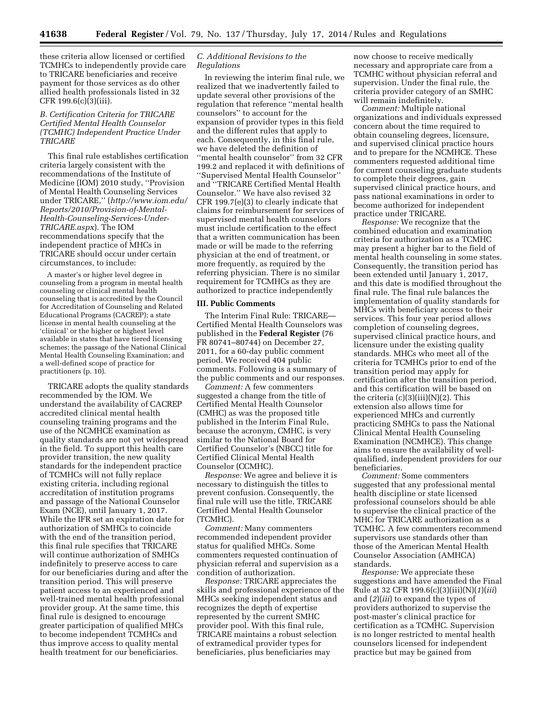these criteria allow licensed or certified TCMHCs to independently provide care to TRICARE beneficiaries and receive payment for those services as do other allied health professionals listed in 32 CFR 199.6(c)(3)(iii).

*B. Certification Criteria for TRICARE Certified Mental Health Counselor (TCMHC) Independent Practice Under TRICARE* 

This final rule establishes certification criteria largely consistent with the recommendations of the Institute of Medicine (IOM) 2010 study, ''Provision of Mental Health Counseling Services under TRICARE,'' (*[http://www.iom.edu/](http://www.iom.edu/Reports/2010/Provision-of-Mental-Health-Counseling-Services-Under-TRICARE.aspx) [Reports/2010/Provision-of-Mental-](http://www.iom.edu/Reports/2010/Provision-of-Mental-Health-Counseling-Services-Under-TRICARE.aspx)[Health-Counseling-Services-Under-](http://www.iom.edu/Reports/2010/Provision-of-Mental-Health-Counseling-Services-Under-TRICARE.aspx)[TRICARE.aspx](http://www.iom.edu/Reports/2010/Provision-of-Mental-Health-Counseling-Services-Under-TRICARE.aspx)*). The IOM recommendations specify that the independent practice of MHCs in TRICARE should occur under certain circumstances, to include:

A master's or higher level degree in counseling from a program in mental health counseling or clinical mental health counseling that is accredited by the Council for Accreditation of Counseling and Related Educational Programs (CACREP); a state license in mental health counseling at the 'clinical' or the higher or highest level available in states that have tiered licensing schemes; the passage of the National Clinical Mental Health Counseling Examination; and a well-defined scope of practice for practitioners (p. 10).

TRICARE adopts the quality standards recommended by the IOM. We understand the availability of CACREP accredited clinical mental health counseling training programs and the use of the NCMHCE examination as quality standards are not yet widespread in the field. To support this health care provider transition, the new quality standards for the independent practice of TCMHCs will not fully replace existing criteria, including regional accreditation of institution programs and passage of the National Counselor Exam (NCE), until January 1, 2017. While the IFR set an expiration date for authorization of SMHCs to coincide with the end of the transition period, this final rule specifies that TRICARE will continue authorization of SMHCs indefinitely to preserve access to care for our beneficiaries during and after the transition period. This will preserve patient access to an experienced and well-trained mental health professional provider group. At the same time, this final rule is designed to encourage greater participation of qualified MHCs to become independent TCMHCs and thus improve access to quality mental health treatment for our beneficiaries.

# *C. Additional Revisions to the Regulations*

In reviewing the interim final rule, we realized that we inadvertently failed to update several other provisions of the regulation that reference ''mental health counselors'' to account for the expansion of provider types in this field and the different rules that apply to each. Consequently, in this final rule, we have deleted the definition of ''mental health counselor'' from 32 CFR 199.2 and replaced it with definitions of ''Supervised Mental Health Counselor'' and ''TRICARE Certified Mental Health Counselor.'' We have also revised 32 CFR 199.7(e)(3) to clearly indicate that claims for reimbursement for services of supervised mental health counselors must include certification to the effect that a written communication has been made or will be made to the referring physician at the end of treatment, or more frequently, as required by the referring physician. There is no similar requirement for TCMHCs as they are authorized to practice independently

#### **III. Public Comments**

The Interim Final Rule: TRICARE— Certified Mental Health Counselors was published in the **Federal Register** (76 FR 80741–80744) on December 27, 2011, for a 60-day public comment period. We received 404 public comments. Following is a summary of the public comments and our responses.

*Comment:* A few commenters suggested a change from the title of Certified Mental Health Counselor (CMHC) as was the proposed title published in the Interim Final Rule, because the acronym, CMHC, is very similar to the National Board for Certified Counselor's (NBCC) title for Certified Clinical Mental Health Counselor (CCMHC).

*Response:* We agree and believe it is necessary to distinguish the titles to prevent confusion. Consequently, the final rule will use the title, TRICARE Certified Mental Health Counselor (TCMHC).

*Comment:* Many commenters recommended independent provider status for qualified MHCs. Some commenters requested continuation of physician referral and supervision as a condition of authorization.

*Response:* TRICARE appreciates the skills and professional experience of the MHCs seeking independent status and recognizes the depth of expertise represented by the current SMHC provider pool. With this final rule, TRICARE maintains a robust selection of extramedical provider types for beneficiaries, plus beneficiaries may

now choose to receive medically necessary and appropriate care from a TCMHC without physician referral and supervision. Under the final rule, the criteria provider category of an SMHC will remain indefinitely.

*Comment:* Multiple national organizations and individuals expressed concern about the time required to obtain counseling degrees, licensure, and supervised clinical practice hours and to prepare for the NCMHCE. These commenters requested additional time for current counseling graduate students to complete their degrees, gain supervised clinical practice hours, and pass national examinations in order to become authorized for independent practice under TRICARE.

*Response:* We recognize that the combined education and examination criteria for authorization as a TCMHC may present a higher bar to the field of mental health counseling in some states. Consequently, the transition period has been extended until January 1, 2017, and this date is modified throughout the final rule. The final rule balances the implementation of quality standards for MHCs with beneficiary access to their services. This four year period allows completion of counseling degrees, supervised clinical practice hours, and licensure under the existing quality standards. MHCs who meet all of the criteria for TCMHCs prior to end of the transition period may apply for certification after the transition period, and this certification will be based on the criteria  $(c)(3)(iii)(N)(2)$ . This extension also allows time for experienced MHCs and currently practicing SMHCs to pass the National Clinical Mental Health Counseling Examination (NCMHCE). This change aims to ensure the availability of wellqualified, independent providers for our beneficiaries.

*Comment:* Some commenters suggested that any professional mental health discipline or state licensed professional counselors should be able to supervise the clinical practice of the MHC for TRICARE authorization as a TCMHC. A few commenters recommend supervisors use standards other than those of the American Mental Health Counselor Association (AMHCA) standards.

*Response:* We appreciate these suggestions and have amended the Final Rule at 32 CFR 199.6(c)(3)(iii)(N)(*1*)(*iii*) and (*2*)(*iii*) to expand the types of providers authorized to supervise the post-master's clinical practice for certification as a TCMHC. Supervision is no longer restricted to mental health counselors licensed for independent practice but may be gained from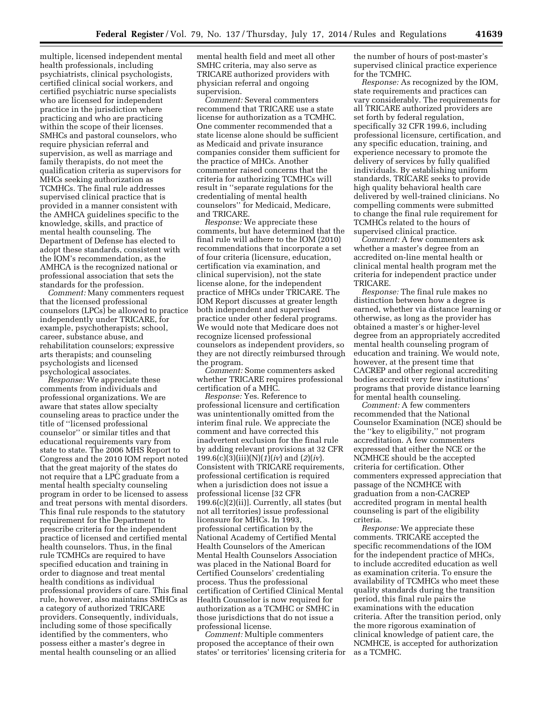multiple, licensed independent mental health professionals, including psychiatrists, clinical psychologists, certified clinical social workers, and certified psychiatric nurse specialists who are licensed for independent practice in the jurisdiction where practicing and who are practicing within the scope of their licenses. SMHCs and pastoral counselors, who require physician referral and supervision, as well as marriage and family therapists, do not meet the qualification criteria as supervisors for MHCs seeking authorization as TCMHCs. The final rule addresses supervised clinical practice that is provided in a manner consistent with the AMHCA guidelines specific to the knowledge, skills, and practice of mental health counseling. The Department of Defense has elected to adopt these standards, consistent with the IOM's recommendation, as the AMHCA is the recognized national or professional association that sets the standards for the profession.

*Comment:* Many commenters request that the licensed professional counselors (LPCs) be allowed to practice independently under TRICARE, for example, psychotherapists; school, career, substance abuse, and rehabilitation counselors; expressive arts therapists; and counseling psychologists and licensed psychological associates.

*Response:* We appreciate these comments from individuals and professional organizations. We are aware that states allow specialty counseling areas to practice under the title of ''licensed professional counselor'' or similar titles and that educational requirements vary from state to state. The 2006 MHS Report to Congress and the 2010 IOM report noted that the great majority of the states do not require that a LPC graduate from a mental health specialty counseling program in order to be licensed to assess and treat persons with mental disorders. This final rule responds to the statutory requirement for the Department to prescribe criteria for the independent practice of licensed and certified mental health counselors. Thus, in the final rule TCMHCs are required to have specified education and training in order to diagnose and treat mental health conditions as individual professional providers of care. This final rule, however, also maintains SMHCs as a category of authorized TRICARE providers. Consequently, individuals, including some of those specifically identified by the commenters, who possess either a master's degree in mental health counseling or an allied

mental health field and meet all other SMHC criteria, may also serve as TRICARE authorized providers with physician referral and ongoing supervision.

*Comment:* Several commenters recommend that TRICARE use a state license for authorization as a TCMHC. One commenter recommended that a state license alone should be sufficient as Medicaid and private insurance companies consider them sufficient for the practice of MHCs. Another commenter raised concerns that the criteria for authorizing TCMHCs will result in ''separate regulations for the credentialing of mental health counselors'' for Medicaid, Medicare, and TRICARE.

*Response:* We appreciate these comments, but have determined that the final rule will adhere to the IOM (2010) recommendations that incorporate a set of four criteria (licensure, education, certification via examination, and clinical supervision), not the state license alone, for the independent practice of MHCs under TRICARE. The IOM Report discusses at greater length both independent and supervised practice under other federal programs. We would note that Medicare does not recognize licensed professional counselors as independent providers, so they are not directly reimbursed through the program.

*Comment:* Some commenters asked whether TRICARE requires professional certification of a MHC.

*Response:* Yes. Reference to professional licensure and certification was unintentionally omitted from the interim final rule. We appreciate the comment and have corrected this inadvertent exclusion for the final rule by adding relevant provisions at 32 CFR 199.6(c)(3)(iii)(N)(*1*)(*iv*) and (*2*)(*iv*). Consistent with TRICARE requirements, professional certification is required when a jurisdiction does not issue a professional license [32 CFR  $199.6(c)(2)(ii)$ ]. Currently, all states (but not all territories) issue professional licensure for MHCs. In 1993, professional certification by the National Academy of Certified Mental Health Counselors of the American Mental Health Counselors Association was placed in the National Board for Certified Counselors' credentialing process. Thus the professional certification of Certified Clinical Mental Health Counselor is now required for authorization as a TCMHC or SMHC in those jurisdictions that do not issue a professional license.

*Comment:* Multiple commenters proposed the acceptance of their own states' or territories' licensing criteria for the number of hours of post-master's supervised clinical practice experience for the TCMHC.

*Response:* As recognized by the IOM, state requirements and practices can vary considerably. The requirements for all TRICARE authorized providers are set forth by federal regulation, specifically 32 CFR 199.6, including professional licensure, certification, and any specific education, training, and experience necessary to promote the delivery of services by fully qualified individuals. By establishing uniform standards, TRICARE seeks to provide high quality behavioral health care delivered by well-trained clinicians. No compelling comments were submitted to change the final rule requirement for TCMHCs related to the hours of supervised clinical practice.

*Comment:* A few commenters ask whether a master's degree from an accredited on-line mental health or clinical mental health program met the criteria for independent practice under TRICARE.

*Response:* The final rule makes no distinction between how a degree is earned, whether via distance learning or otherwise, as long as the provider has obtained a master's or higher-level degree from an appropriately accredited mental health counseling program of education and training. We would note, however, at the present time that CACREP and other regional accrediting bodies accredit very few institutions' programs that provide distance learning for mental health counseling.

*Comment:* A few commenters recommended that the National Counselor Examination (NCE) should be the ''key to eligibility,'' not program accreditation. A few commenters expressed that either the NCE or the NCMHCE should be the accepted criteria for certification. Other commenters expressed appreciation that passage of the NCMHCE with graduation from a non-CACREP accredited program in mental health counseling is part of the eligibility criteria.

*Response:* We appreciate these comments. TRICARE accepted the specific recommendations of the IOM for the independent practice of MHCs, to include accredited education as well as examination criteria. To ensure the availability of TCMHCs who meet these quality standards during the transition period, this final rule pairs the examinations with the education criteria. After the transition period, only the more rigorous examination of clinical knowledge of patient care, the NCMHCE, is accepted for authorization as a TCMHC.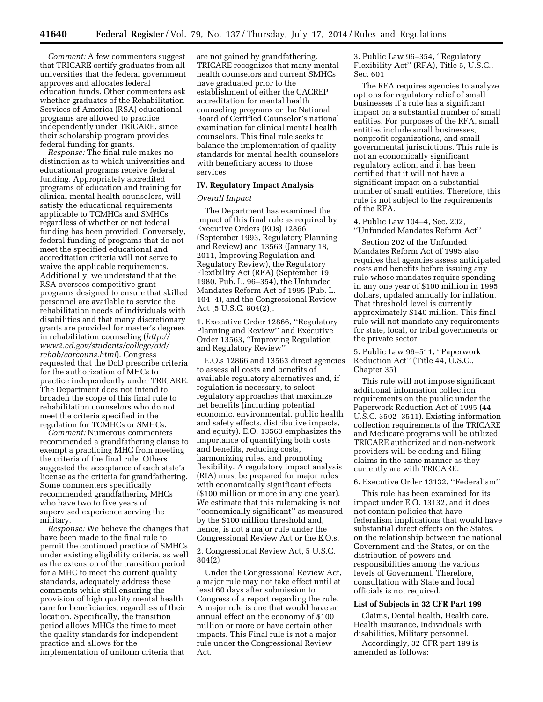*Comment:* A few commenters suggest that TRICARE certify graduates from all universities that the federal government approves and allocates federal education funds. Other commenters ask whether graduates of the Rehabilitation Services of America (RSA) educational programs are allowed to practice independently under TRICARE, since their scholarship program provides federal funding for grants.

*Response:* The final rule makes no distinction as to which universities and educational programs receive federal funding. Appropriately accredited programs of education and training for clinical mental health counselors, will satisfy the educational requirements applicable to TCMHCs and SMHCs regardless of whether or not federal funding has been provided. Conversely, federal funding of programs that do not meet the specified educational and accreditation criteria will not serve to waive the applicable requirements. Additionally, we understand that the RSA oversees competitive grant programs designed to ensure that skilled personnel are available to service the rehabilitation needs of individuals with disabilities and that many discretionary grants are provided for master's degrees in rehabilitation counseling (*[http://](http://www2.ed.gov/students/college/aid/rehab/carcouns.html) [www2.ed.gov/students/college/aid/](http://www2.ed.gov/students/college/aid/rehab/carcouns.html) [rehab/carcouns.html](http://www2.ed.gov/students/college/aid/rehab/carcouns.html)*). Congress requested that the DoD prescribe criteria for the authorization of MHCs to practice independently under TRICARE. The Department does not intend to broaden the scope of this final rule to rehabilitation counselors who do not meet the criteria specified in the regulation for TCMHCs or SMHCs.

*Comment:* Numerous commenters recommended a grandfathering clause to exempt a practicing MHC from meeting the criteria of the final rule. Others suggested the acceptance of each state's license as the criteria for grandfathering. Some commenters specifically recommended grandfathering MHCs who have two to five years of supervised experience serving the military.

*Response:* We believe the changes that have been made to the final rule to permit the continued practice of SMHCs under existing eligibility criteria, as well as the extension of the transition period for a MHC to meet the current quality standards, adequately address these comments while still ensuring the provision of high quality mental health care for beneficiaries, regardless of their location. Specifically, the transition period allows MHCs the time to meet the quality standards for independent practice and allows for the implementation of uniform criteria that

are not gained by grandfathering. TRICARE recognizes that many mental health counselors and current SMHCs have graduated prior to the establishment of either the CACREP accreditation for mental health counseling programs or the National Board of Certified Counselor's national examination for clinical mental health counselors. This final rule seeks to balance the implementation of quality standards for mental health counselors with beneficiary access to those services.

# **IV. Regulatory Impact Analysis**

## *Overall Impact*

The Department has examined the impact of this final rule as required by Executive Orders (EOs) 12866 (September 1993, Regulatory Planning and Review) and 13563 (January 18, 2011, Improving Regulation and Regulatory Review), the Regulatory Flexibility Act (RFA) (September 19, 1980, Pub. L. 96–354), the Unfunded Mandates Reform Act of 1995 (Pub. L. 104–4), and the Congressional Review Act [5 U.S.C. 804(2)].

1. Executive Order 12866, ''Regulatory Planning and Review'' and Executive Order 13563, ''Improving Regulation and Regulatory Review''

E.O.s 12866 and 13563 direct agencies to assess all costs and benefits of available regulatory alternatives and, if regulation is necessary, to select regulatory approaches that maximize net benefits (including potential economic, environmental, public health and safety effects, distributive impacts, and equity). E.O. 13563 emphasizes the importance of quantifying both costs and benefits, reducing costs, harmonizing rules, and promoting flexibility. A regulatory impact analysis (RIA) must be prepared for major rules with economically significant effects (\$100 million or more in any one year). We estimate that this rulemaking is not ''economically significant'' as measured by the \$100 million threshold and, hence, is not a major rule under the Congressional Review Act or the E.O.s.

2. Congressional Review Act, 5 U.S.C. 804(2)

Under the Congressional Review Act, a major rule may not take effect until at least 60 days after submission to Congress of a report regarding the rule. A major rule is one that would have an annual effect on the economy of \$100 million or more or have certain other impacts. This Final rule is not a major rule under the Congressional Review Act.

3. Public Law 96–354, ''Regulatory Flexibility Act'' (RFA), Title 5, U.S.C., Sec. 601

The RFA requires agencies to analyze options for regulatory relief of small businesses if a rule has a significant impact on a substantial number of small entities. For purposes of the RFA, small entities include small businesses, nonprofit organizations, and small governmental jurisdictions. This rule is not an economically significant regulatory action, and it has been certified that it will not have a significant impact on a substantial number of small entities. Therefore, this rule is not subject to the requirements of the RFA.

4. Public Law 104–4, Sec. 202, ''Unfunded Mandates Reform Act''

Section 202 of the Unfunded Mandates Reform Act of 1995 also requires that agencies assess anticipated costs and benefits before issuing any rule whose mandates require spending in any one year of \$100 million in 1995 dollars, updated annually for inflation. That threshold level is currently approximately \$140 million. This final rule will not mandate any requirements for state, local, or tribal governments or the private sector.

5. Public Law 96–511, ''Paperwork Reduction Act" (Title 44, U.S.C., Chapter 35)

This rule will not impose significant additional information collection requirements on the public under the Paperwork Reduction Act of 1995 (44 U.S.C. 3502–3511). Existing information collection requirements of the TRICARE and Medicare programs will be utilized. TRICARE authorized and non-network providers will be coding and filing claims in the same manner as they currently are with TRICARE.

# 6. Executive Order 13132, ''Federalism''

This rule has been examined for its impact under E.O. 13132, and it does not contain policies that have federalism implications that would have substantial direct effects on the States, on the relationship between the national Government and the States, or on the distribution of powers and responsibilities among the various levels of Government. Therefore, consultation with State and local officials is not required.

### **List of Subjects in 32 CFR Part 199**

Claims, Dental health, Health care, Health insurance, Individuals with disabilities, Military personnel.

Accordingly, 32 CFR part 199 is amended as follows: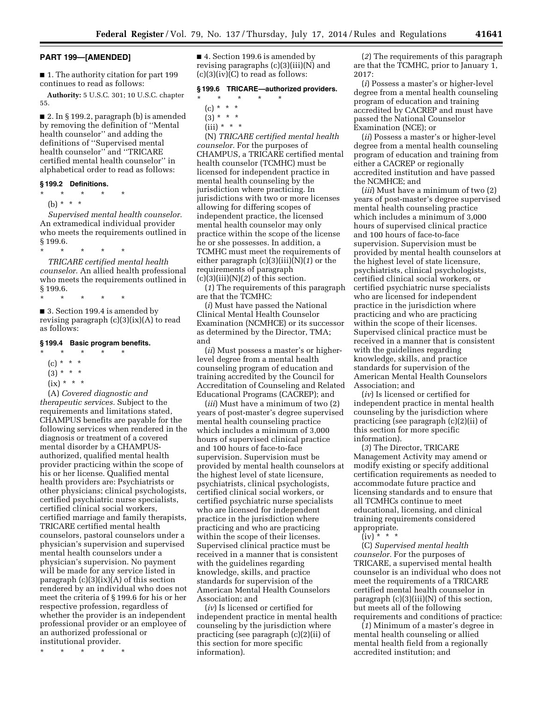# **PART 199—[AMENDED]**

■ 1. The authority citation for part 199 continues to read as follows:

**Authority:** 5 U.S.C. 301; 10 U.S.C. chapter 55.

■ 2. In § 199.2, paragraph (b) is amended by removing the definition of ''Mental health counselor'' and adding the definitions of ''Supervised mental health counselor'' and ''TRICARE certified mental health counselor'' in alphabetical order to read as follows:

## **§ 199.2 Definitions.**

\* \* \* \* \* (b) \* \* \*

*Supervised mental health counselor.*  An extramedical individual provider who meets the requirements outlined in

\* \* \* \* \* *TRICARE certified mental health* 

*counselor.* An allied health professional who meets the requirements outlined in § 199.6.

\* \* \* \* \*

■ 3. Section 199.4 is amended by revising paragraph  $(c)(3)(ix)(A)$  to read as follows:

#### **§ 199.4 Basic program benefits.**

- \* \* \* \* \*
- $(c) * * * *$
- $(3) * * * *$
- $(ix) * * * *$

(A) *Covered diagnostic and therapeutic services.* Subject to the requirements and limitations stated, CHAMPUS benefits are payable for the following services when rendered in the diagnosis or treatment of a covered mental disorder by a CHAMPUSauthorized, qualified mental health provider practicing within the scope of his or her license. Qualified mental health providers are: Psychiatrists or other physicians; clinical psychologists, certified psychiatric nurse specialists, certified clinical social workers, certified marriage and family therapists, TRICARE certified mental health counselors, pastoral counselors under a physician's supervision and supervised mental health counselors under a physician's supervision. No payment will be made for any service listed in paragraph  $(c)(3)(ix)(A)$  of this section rendered by an individual who does not meet the criteria of § 199.6 for his or her respective profession, regardless of whether the provider is an independent professional provider or an employee of an authorized professional or institutional provider.

\* \* \* \* \*

■ 4. Section 199.6 is amended by revising paragraphs (c)(3)(iii)(N) and  $(c)(3)(iv)(C)$  to read as follows:

# **§ 199.6 TRICARE—authorized providers.**

- \* \* \* \* \*
	- $(c) * * * *$
	- $(3) * * * *$  $(iii) * * * *$

(N) *TRICARE certified mental health counselor.* For the purposes of CHAMPUS, a TRICARE certified mental health counselor (TCMHC) must be licensed for independent practice in mental health counseling by the jurisdiction where practicing. In jurisdictions with two or more licenses allowing for differing scopes of independent practice, the licensed mental health counselor may only practice within the scope of the license he or she possesses. In addition, a TCMHC must meet the requirements of either paragraph (c)(3)(iii)(N)(*1*) or the requirements of paragraph  $(c)(3)(iii)(N)(2)$  of this section.

(*1*) The requirements of this paragraph are that the TCMHC:

(*i*) Must have passed the National Clinical Mental Health Counselor Examination (NCMHCE) or its successor as determined by the Director, TMA; and

(*ii*) Must possess a master's or higherlevel degree from a mental health counseling program of education and training accredited by the Council for Accreditation of Counseling and Related Educational Programs (CACREP); and

(*iii*) Must have a minimum of two (2) years of post-master's degree supervised mental health counseling practice which includes a minimum of 3,000 hours of supervised clinical practice and 100 hours of face-to-face supervision. Supervision must be provided by mental health counselors at the highest level of state licensure, psychiatrists, clinical psychologists, certified clinical social workers, or certified psychiatric nurse specialists who are licensed for independent practice in the jurisdiction where practicing and who are practicing within the scope of their licenses. Supervised clinical practice must be received in a manner that is consistent with the guidelines regarding knowledge, skills, and practice standards for supervision of the American Mental Health Counselors Association; and

(*iv*) Is licensed or certified for independent practice in mental health counseling by the jurisdiction where practicing (see paragraph (c)(2)(ii) of this section for more specific information).

(*2*) The requirements of this paragraph are that the TCMHC, prior to January 1, 2017:

(*i*) Possess a master's or higher-level degree from a mental health counseling program of education and training accredited by CACREP and must have passed the National Counselor Examination (NCE); or

(*ii*) Possess a master's or higher-level degree from a mental health counseling program of education and training from either a CACREP or regionally accredited institution and have passed the NCMHCE; and

(*iii*) Must have a minimum of two (2) years of post-master's degree supervised mental health counseling practice which includes a minimum of 3,000 hours of supervised clinical practice and 100 hours of face-to-face supervision. Supervision must be provided by mental health counselors at the highest level of state licensure, psychiatrists, clinical psychologists, certified clinical social workers, or certified psychiatric nurse specialists who are licensed for independent practice in the jurisdiction where practicing and who are practicing within the scope of their licenses. Supervised clinical practice must be received in a manner that is consistent with the guidelines regarding knowledge, skills, and practice standards for supervision of the American Mental Health Counselors Association; and

(*iv*) Is licensed or certified for independent practice in mental health counseling by the jurisdiction where practicing (see paragraph (c)(2)(ii) of this section for more specific information).

(*3*) The Director, TRICARE Management Activity may amend or modify existing or specify additional certification requirements as needed to accommodate future practice and licensing standards and to ensure that all TCMHCs continue to meet educational, licensing, and clinical training requirements considered appropriate.

# $(iv)$  \* \* \*

(C) *Supervised mental health counselor.* For the purposes of TRICARE, a supervised mental health counselor is an individual who does not meet the requirements of a TRICARE certified mental health counselor in paragraph  $(c)(3)(iii)(N)$  of this section, but meets all of the following requirements and conditions of practice:

(*1*) Minimum of a master's degree in mental health counseling or allied mental health field from a regionally accredited institution; and

§ 199.6.